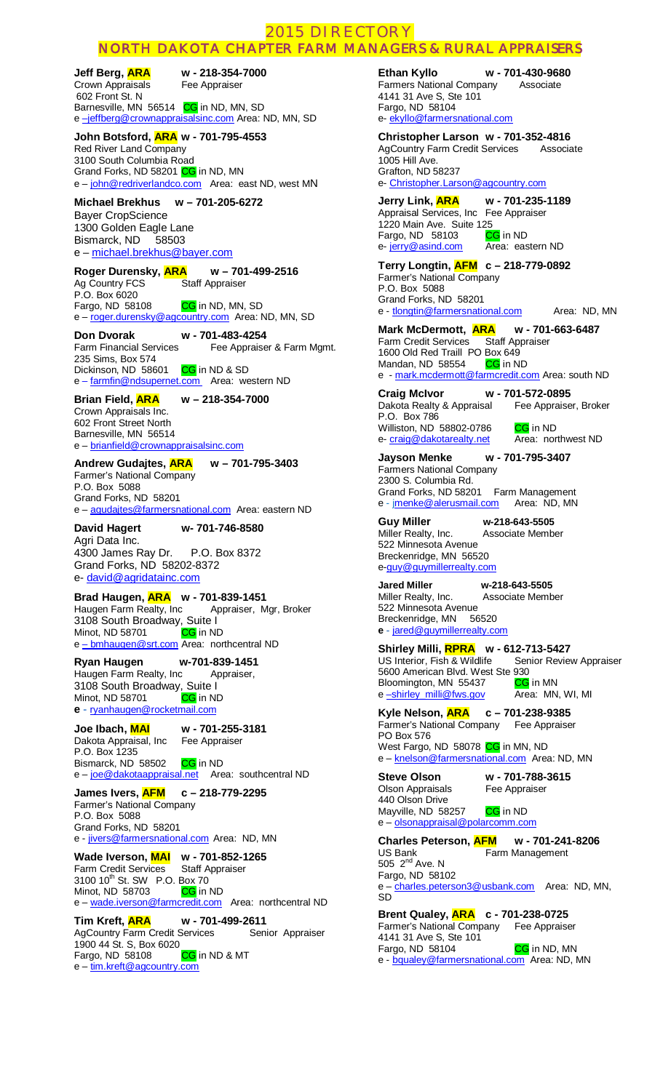# 2015 DIRECTORY

# NORTH DAKOTA CHAPTER FARM MANAGERS & RURAL APPRAISERS

**Jeff Berg, <mark>ARA</mark> w - 218-354-7000**<br>Crown Appraisals Fee Appraiser Crown Appraisals 602 Front St. N

Barnesville, MN 56514 CG in ND, MN, SD e -jeffberg@crownappraisalsinc.com</u> Area: ND, MN, SD

## **John Botsford, ARA w - 701-795-4553**

Red River Land Company 3100 South Columbia Road Grand Forks, ND 58201 CG in ND, MN e – [john@redriverlandco.com](mailto:john@redriverlandco.com) Area: east ND, west MN

# **Michael Brekhus w – 701-205-6272**

Bayer CropScience 1300 Golden Eagle Lane Bismarck, ND 58503 e – [michael.brekhus@bayer.com](mailto:michael.brekhus@bayer.com)

# **Roger Durensky, ARA w – 701-499-2516**<br>Ag Country FCS Staff Appraiser

Ag Country FCS P.O. Box 6020

CG in ND, MN, SD

e – [roger.durensky@agcountry.com](mailto:roger.durensky@agcountry.com) Area: ND, MN, SD

**Don Dvorak w - 701-483-4254** Farm Financial Services Fee Appraiser & Farm Mgmt. 235 Sims, Box 574 Dickinson, ND 58601 CG in ND & SD e – [farmfin@ndsupernet.com](mailto:farmfin@ndsupernet.com) Area: western ND

#### **Brian Field, ARA w – 218-354-7000**  Crown Appraisals Inc.

602 Front Street North Barnesville, MN 56514 e – [brianfield@crownappraisalsinc.com](mailto:brianfield@crownappraisalsinc.com)

#### **Andrew Gudajtes, ARA w – 701-795-3403**  Farmer's National Company

P.O. Box 5088 Grand Forks, ND 58201 e – [agudajtes@farmersnational.com](mailto:agudajtes@farmersnational.com) Area: eastern ND

**David Hagert w- 701-746-8580** 

Agri Data Inc. 4300 James Ray Dr. P.O. Box 8372 Grand Forks, ND 58202-8372 e- [david@agridatainc.com](mailto:david@agridatainc.com) 

#### **Brad Haugen, ARA w - 701-839-1451**

Haugen Farm Realty, Inc Appraiser, Mgr, Broker 3108 South Broadway, Suite I Minot, ND 58701 CG in ND e – bmhaugen@srt.com Area: northcentral ND

#### **Ryan Haugen w-701-839-1451**

Haugen Farm Realty, Inc Appraiser, 3108 South Broadway, Suite I<br>Minot, ND 58701 **CG** in ND Minot, ND 58701 **e -** ryanhaugen@rocketmail.com

#### **Joe Ibach, MAI w - 701-255-3181** Dakota Appraisal, Inc Fee Appraiser P.O. Box 1235 Bismarck, ND 58502 CG in ND

e – [joe@dakotaappraisal.net](mailto:dakappri@westriv.com) Area: southcentral ND

### **James Ivers, AFM c – 218-779-2295** Farmer's National Company P.O. Box 5088 Grand Forks, ND 58201

e - jivers@farmersnational.com</u> Area: ND, MN

Wade Iverson, **MAI** w - 701-852-1265<br>Farm Credit Services Staff Appraiser Farm Credit Services  $3100 10^{th}$  St. SW P.O. Box 70 Minot, ND 58703 CG in ND e – [wade.iverson@farmcredit.com](mailto:wade.iverson@farmcredit.com) Area: northcentral ND

**Tim Kreft, ARA w - 701-499-2611** AgCountry Farm Credit Services Senior Appraiser 1900 44 St. S, Box 6020 Fargo, ND 58108 CG in ND & MT e – tim.kreft@agcountry.com

#### **Ethan Kyllo w - 701-430-9680**

Farmers National Company Associate 4141 31 Ave S, Ste 101 Fargo, ND 58104 e- ekyllo@farmersnational.com

## **Christopher Larson w - 701-352-4816**

AgCountry Farm Credit Services Associate 1005 Hill Ave. Grafton, ND 58237 e- [Christopher.Larson@agcountry.com](mailto:Christopher.Larson@agcountry.com)

# **Jerry Link, ARA w - 701-235-1189**

Appraisal Services, Inc Fee Appraiser 1220 Main Ave. Suite 125<br>Fargo, ND 58103 **CG** in ND Fargo, ND 58103 CG in ND<br>e- jerry@asind.com Area: eastern ND e- [jerry@asind.com](mailto:jerry@asind.com)

# **Terry Longtin, AFM c – 218-779-0892**

Farmer's National Company P.O. Box 5088 Grand Forks, ND 58201 e - [tlongtin@farmersnational.com](mailto:tlongtin@farmersnational.com) Area: ND, MN

# **Mark McDermott, ARA w - 701-663-6487**<br>Farm Credit Services Staff Appraiser

Farm Credit Services 1600 Old Red Traill PO Box 649<br>Mandan, ND 58554 CG in ND Mandan, ND 58554 e - [mark.mcdermott@farmcredit.com](mailto:mark.mcdermott@farmcredit.com) Area: south ND

**Craig McIvor w - 701-572-0895** Dakota Realty & Appraisal Fee Appraiser, Broker P.O. Box 786 Williston, ND 58802-0786 CG in ND

e- craig@dakotarealty.net Area: northwest ND

#### **Jayson Menke w - 701-795-3407** Farmers National Company 2300 S. Columbia Rd. Grand Forks, ND 58201 Farm Management<br>e - jmenke@alerusmail.com Area: ND, MN e - jmenke@alerusmail.com

**Guy Miller w-218-643-5505**  Miller Realty, Inc. Associate Member 522 Minnesota Avenue Breckenridge, MN 56520 e-[guy@guymillerrealty.com](mailto:guy@guymillerrealty.com)

**Jared Miller w-218-643-5505**  Miller Realty, Inc. Associate Member 522 Minnesota Avenue Breckenridge, MN 56520 **e -** jared@guymillerrealty.com

**Shirley Milli, RPRA w - 612-713-5427** US Interior, Fish & Wildlife Senior Review Appraiser 5600 American Blvd. West Ste 930<br>Bloomington, MN 55437 CG in MN Bloomington, MN 55437 e -shirley\_milli@fws.gov Area: MN, WI, MI

**Kyle Nelson, ARA c – 701-238-9385** Farmer's National Company Fee Appraiser PO Box 576 West Fargo, ND 58078 CG in MN, ND e – [knelson@farmersnational.com](mailto:knelson@farmersnational.com) Area: ND, MN

Olson Appraisals Fee Appraiser 440 Olson Drive Mayville, ND 58257 CG in ND

**Steve Olson w - 701-788-3615**

# e – [olsonappraisal@polarcomm.com](mailto:olsonappraisal@polarcomm.com)

**Charles Peterson, AFM w - 701-241-8206** Farm Management US Bank<br>505 2<sup>nd</sup> Ave. N Fargo, ND 58102 e – [charles.peterson3@usbank.com](mailto:charles.peterson3@usbank.com) Area: ND, MN, SD

**Brent Qualey, ARA c - 701-238-0725** Farmer's National Company Fee Appraiser 4141 31 Ave S, Ste 101 Fargo, ND 58104 CG in ND, MN e - [bqualey@farmersnational.com](mailto:bqualey@farmersnational.com) Area: ND, MN